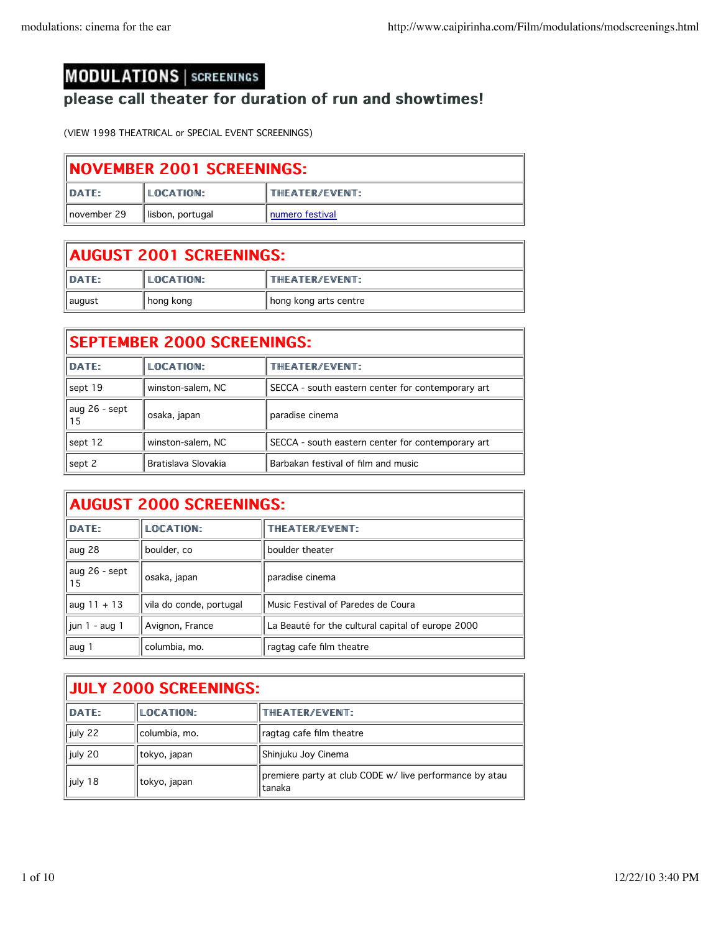## **MODULATIONS | SCREENINGS**

## please call theater for duration of run and showtimes!

(VIEW 1998 THEATRICAL or SPECIAL EVENT SCREENINGS)

| <b>INOVEMBER 2001 SCREENINGS:</b> |                   |                        |
|-----------------------------------|-------------------|------------------------|
| <b>DATE:</b>                      | <b>ILOCATION:</b> | <b>ITHEATER/EVENT:</b> |
| Inovember 29                      | lisbon, portugal  | I numero festival      |

| AUGUST 2001 SCREENINGS: |                  |                       |
|-------------------------|------------------|-----------------------|
| DATE:                   | <b>LOCATION:</b> | <b>THEATER/EVENT:</b> |
| august                  | hong kong        | hong kong arts centre |

| <b>SEPTEMBER 2000 SCREENINGS:</b> |                     |                                                   |
|-----------------------------------|---------------------|---------------------------------------------------|
| DATE:                             | LOCATION:           | THEATER/EVENT:                                    |
| sept 19                           | winston-salem, NC   | SECCA - south eastern center for contemporary art |
| aug 26 - sept<br>15               | osaka, japan        | paradise cinema                                   |
| sept 12                           | winston-salem, NC   | SECCA - south eastern center for contemporary art |
| sept 2                            | Bratislava Slovakia | Barbakan festival of film and music               |

| <b>AUGUST 2000 SCREENINGS:</b> |                         |                                                   |
|--------------------------------|-------------------------|---------------------------------------------------|
| DATE:                          | <b>LOCATION:</b>        | THEATER/EVENT:                                    |
| aug 28                         | boulder, co             | boulder theater                                   |
| aug 26 - sept<br>15            | osaka, japan            | paradise cinema                                   |
| aug $11 + 13$                  | vila do conde, portugal | Music Festival of Paredes de Coura                |
| jun $1 - aug 1$                | Avignon, France         | La Beauté for the cultural capital of europe 2000 |
| aug 1                          | columbia, mo.           | ragtag cafe film theatre                          |

| <b>JULY 2000 SCREENINGS:</b> |                  |                                                                   |
|------------------------------|------------------|-------------------------------------------------------------------|
| <b>DATE:</b>                 | <b>LOCATION:</b> | <b>THEATER/EVENT:</b>                                             |
| july 22                      | columbia, mo.    | ragtag cafe film theatre                                          |
| july 20                      | tokyo, japan     | Shinjuku Joy Cinema                                               |
| July 18                      | tokyo, japan     | premiere party at club CODE w/ live performance by atau<br>tanaka |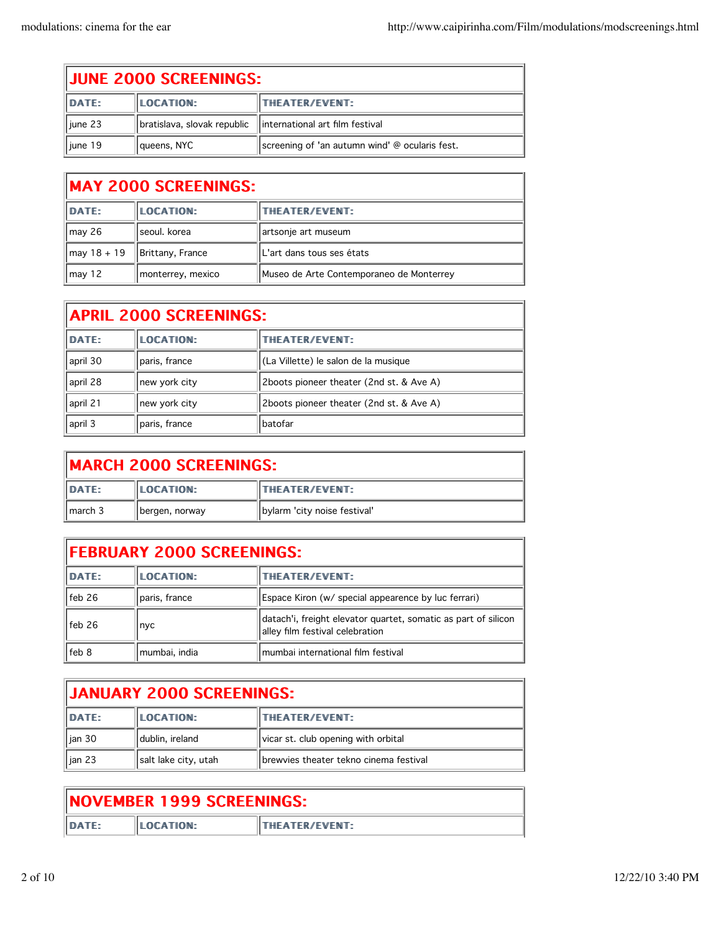| <b>JUNE 2000 SCREENINGS:</b> |                             |                                                |
|------------------------------|-----------------------------|------------------------------------------------|
| DATE:                        | LOCATION:                   | <b>THEATER/EVENT:</b>                          |
| $\parallel$ june 23          | bratislava, slovak republic | linternational art film festival               |
| $\parallel$ june 19          | queens, NYC                 | screening of 'an autumn wind' @ ocularis fest. |

## MAY 2000 SCREENINGS:

| <b>DATE:</b>         | LOCATION:         | <b>ITHEATER/EVENT:</b>                   |
|----------------------|-------------------|------------------------------------------|
| $\vert$ may 26       | l seoul. korea    | artsonje art museum                      |
| $\sqrt{max 18 + 19}$ | Brittany, France  | IL'art dans tous ses états               |
| $\sqrt{may}$ 12      | monterrey, mexico | Museo de Arte Contemporaneo de Monterrey |

| <b>APRIL 2000 SCREENINGS:</b> |               |                                          |
|-------------------------------|---------------|------------------------------------------|
| <b>DATE:</b>                  | LOCATION:     | THEATER/EVENT:                           |
| april 30                      | paris, france | (La Villette) le salon de la musique     |
| april 28                      | new york city | 2boots pioneer theater (2nd st. & Ave A) |
| april 21                      | new york city | 2boots pioneer theater (2nd st. & Ave A) |
| april 3                       | paris, france | l batofar                                |

| <b>IMARCH 2000 SCREENINGS:</b> |                |                              |
|--------------------------------|----------------|------------------------------|
| DATE:                          | LOCATION:      | <b>THEATER/EVENT:</b>        |
| 1 march 3                      | bergen, norway | bylarm 'city noise festival' |

| <b>FEBRUARY 2000 SCREENINGS:</b> |               |                                                                                                   |
|----------------------------------|---------------|---------------------------------------------------------------------------------------------------|
| DATE:                            | LOCATION:     | <b>THEATER/EVENT:</b>                                                                             |
| <sup>1</sup> feb 26              | paris, france | Espace Kiron (w/ special appearence by luc ferrari)                                               |
| feb 26                           | nyc           | datach'i, freight elevator quartet, somatic as part of silicon<br>alley film festival celebration |
| feb 8                            | mumbai, india | lmumbai international film festival                                                               |

| <b>JANUARY 2000 SCREENINGS:</b> |                      |                                         |
|---------------------------------|----------------------|-----------------------------------------|
| DATE:                           | <b>LOCATION:</b>     | <b>THEATER/EVENT:</b>                   |
| lian 30                         | dublin, ireland      | vicar st. club opening with orbital     |
| l jan 23                        | salt lake city, utah | Ibrewvies theater tekno cinema festival |

| <b>INOVEMBER 1999 SCREENINGS:</b> |            |                        |
|-----------------------------------|------------|------------------------|
| <b>DATF:</b>                      | ILOCATION: | <b>ITHEATER/EVENT:</b> |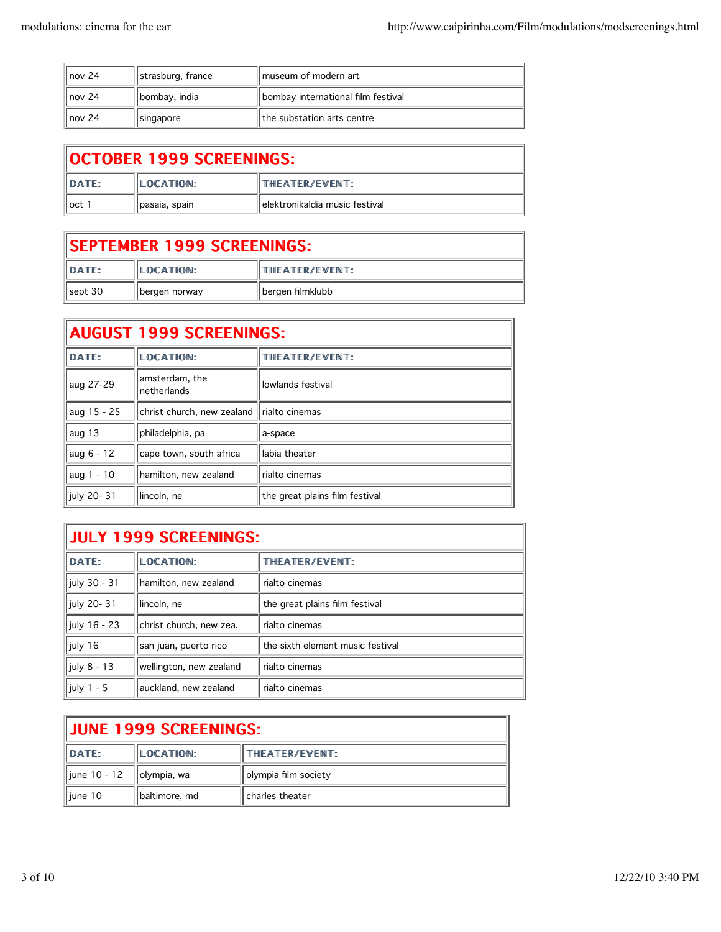| $\parallel$ nov 24 | strasburg, france | I museum of modern art             |
|--------------------|-------------------|------------------------------------|
| $\parallel$ nov 24 | I bombay, india   | bombay international film festival |
| $\parallel$ nov 24 | singapore         | Ithe substation arts centre        |

| <b>OCTOBER 1999 SCREENINGS:</b> |                  |                                 |
|---------------------------------|------------------|---------------------------------|
| <b>IDATE:</b>                   | <b>LOCATION:</b> | ITHEATER/EVENT:                 |
| oct 1                           | Ipasaia, spain   | Telektronikaldia music festival |

| <b>ISEPTEMBER 1999 SCREENINGS:</b> |                   |                        |
|------------------------------------|-------------------|------------------------|
| DATE:                              | <b>ILOCATION:</b> | <b>ITHEATER/EVENT:</b> |
| sept 30                            | bergen norway     | I bergen filmklubb     |

| <b>AUGUST 1999 SCREENINGS:</b> |                                |                                |
|--------------------------------|--------------------------------|--------------------------------|
| DATE:                          | <b>LOCATION:</b>               | THEATER/EVENT:                 |
| aug 27-29                      | amsterdam, the<br>Inetherlands | lowlands festival              |
| aug 15 - 25                    | christ church, new zealand     | rialto cinemas                 |
| aug 13                         | philadelphia, pa               | a-space                        |
| aug 6 - 12                     | cape town, south africa        | labia theater                  |
| aug 1 - 10                     | hamilton, new zealand          | rialto cinemas                 |
| july 20-31                     | lincoln, ne                    | the great plains film festival |

| <b>JULY 1999 SCREENINGS:</b> |                         |                                  |
|------------------------------|-------------------------|----------------------------------|
| DATE:                        | <b>LOCATION:</b>        | THEATER/EVENT:                   |
| july 30 - 31                 | hamilton, new zealand   | rialto cinemas                   |
| july 20-31                   | lincoln, ne             | the great plains film festival   |
| july 16 - 23                 | christ church, new zea. | rialto cinemas                   |
| july 16                      | san juan, puerto rico   | the sixth element music festival |
| july 8 - 13                  | wellington, new zealand | rialto cinemas                   |
| july 1 - 5                   | auckland, new zealand   | rialto cinemas                   |

| <b>IJUNE 1999 SCREENINGS:</b> |                  |                      |
|-------------------------------|------------------|----------------------|
| DATE:                         | <b>LOCATION:</b> | THEATER/EVENT:       |
| june 10 - 12                  | olympia, wa      | olympia film society |
| l june 10                     | baltimore, md    | charles theater      |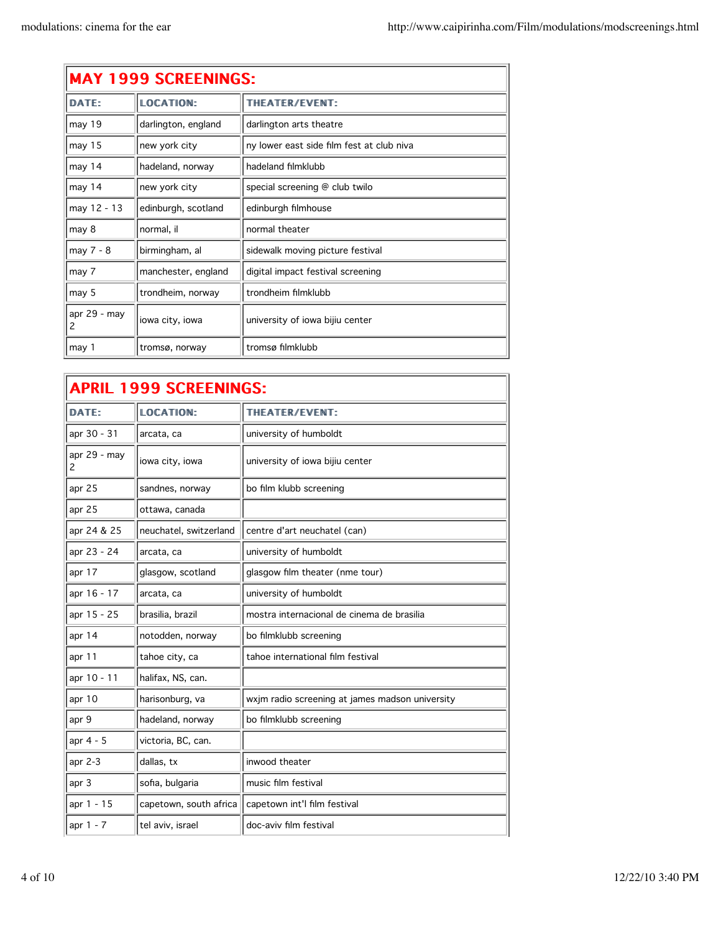| <b>MAY 1999 SCREENINGS:</b> |                     |                                           |
|-----------------------------|---------------------|-------------------------------------------|
| <b>DATE:</b>                | <b>LOCATION:</b>    | THEATER/EVENT:                            |
| may 19                      | darlington, england | darlington arts theatre                   |
| may 15                      | new york city       | ny lower east side film fest at club niva |
| may 14                      | hadeland, norway    | hadeland filmklubb                        |
| may 14                      | new york city       | special screening @ club twilo            |
| may 12 - 13                 | edinburgh, scotland | edinburgh filmhouse                       |
| may 8                       | normal, il          | normal theater                            |
| may 7 - 8                   | birmingham, al      | sidewalk moving picture festival          |
| may 7                       | manchester, england | digital impact festival screening         |
| may 5                       | trondheim, norway   | trondheim filmklubb                       |
| apr 29 - may<br>2           | iowa city, iowa     | university of iowa bijiu center           |
| may 1                       | tromsø, norway      | tromsø filmklubb                          |

| <b>APRIL 1999 SCREENINGS:</b> |                        |                                                 |
|-------------------------------|------------------------|-------------------------------------------------|
| <b>DATE:</b>                  | LOCATION:              | THEATER/EVENT:                                  |
| apr 30 - 31                   | arcata, ca             | university of humboldt                          |
| apr 29 - may<br>2             | iowa city, iowa        | university of iowa bijiu center                 |
| apr 25                        | sandnes, norway        | bo film klubb screening                         |
| apr 25                        | ottawa, canada         |                                                 |
| apr 24 & 25                   | neuchatel, switzerland | centre d'art neuchatel (can)                    |
| apr 23 - 24                   | arcata, ca             | university of humboldt                          |
| apr 17                        | glasgow, scotland      | glasgow film theater (nme tour)                 |
| apr 16 - 17                   | arcata, ca             | university of humboldt                          |
| apr 15 - 25                   | brasilia, brazil       | mostra internacional de cinema de brasilia      |
| apr 14                        | notodden, norway       | bo filmklubb screening                          |
| apr $11$                      | tahoe city, ca         | tahoe international film festival               |
| apr 10 - 11                   | halifax, NS, can.      |                                                 |
| apr 10                        | harisonburg, va        | wxjm radio screening at james madson university |
| apr 9                         | hadeland, norway       | bo filmklubb screening                          |
| apr 4 - 5                     | victoria, BC, can.     |                                                 |
| apr 2-3                       | dallas, tx             | inwood theater                                  |
| apr 3                         | sofia, bulgaria        | music film festival                             |
| apr 1 - 15                    | capetown, south africa | capetown int'l film festival                    |
| apr 1 - 7                     | tel aviv, israel       | doc-aviv film festival                          |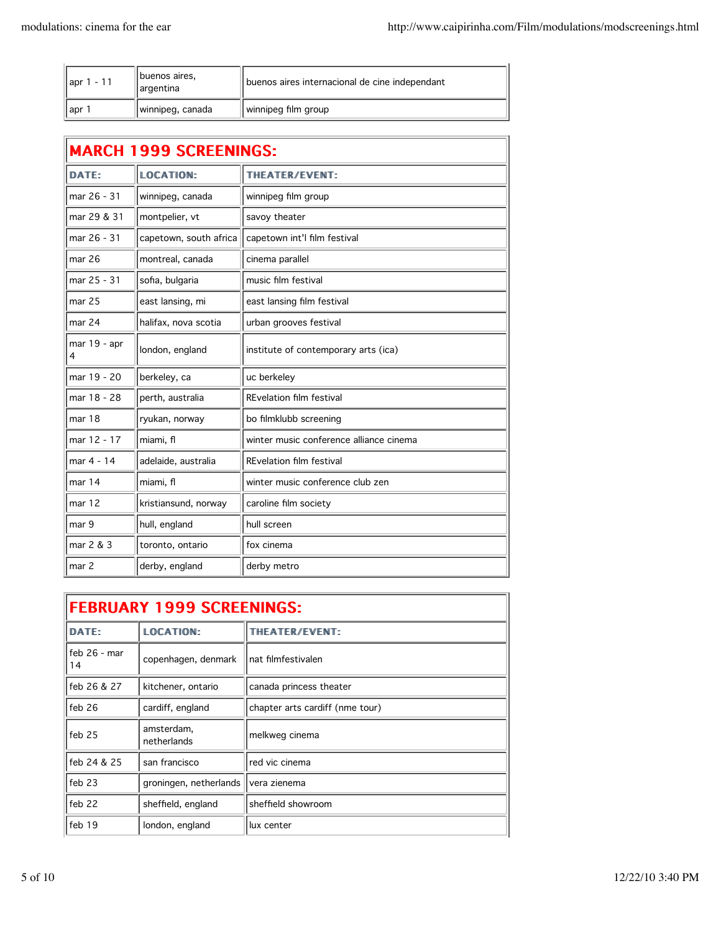| $-11$<br>$\parallel$ apr | buenos aires,<br>argentina | buenos aires internacional de cine independant |
|--------------------------|----------------------------|------------------------------------------------|
| ∥apr                     | I winnipeg, canada         | winnipeg film group                            |

| <b>MARCH 1999 SCREENINGS:</b> |                        |                                         |
|-------------------------------|------------------------|-----------------------------------------|
| DATF:                         | <b>LOCATION:</b>       | THEATER/EVENT:                          |
| mar 26 - 31                   | winnipeg, canada       | winnipeg film group                     |
| mar 29 & 31                   | montpelier, vt         | savoy theater                           |
| mar 26 - 31                   | capetown, south africa | capetown int'l film festival            |
| mar <sub>26</sub>             | montreal, canada       | cinema parallel                         |
| mar 25 - 31                   | sofia, bulgaria        | music film festival                     |
| mar <sub>25</sub>             | east lansing, mi       | east lansing film festival              |
| mar 24                        | halifax, nova scotia   | urban grooves festival                  |
| mar $19 -$ apr<br>4           | london, england        | institute of contemporary arts (ica)    |
| mar 19 - 20                   | berkeley, ca           | uc berkeley                             |
| mar 18 - 28                   | perth, australia       | <b>REvelation film festival</b>         |
| mar <sub>18</sub>             | ryukan, norway         | bo filmklubb screening                  |
| mar 12 - 17                   | miami, fl              | winter music conference alliance cinema |
| mar 4 - 14                    | adelaide, australia    | <b>REvelation film festival</b>         |
| mar <sub>14</sub>             | miami, fl              | winter music conference club zen        |
| mar 12                        | kristiansund, norway   | caroline film society                   |
| mar 9                         | hull, england          | hull screen                             |
| mar 2 & 3                     | toronto, ontario       | fox cinema                              |
| mar 2                         | derby, england         | derby metro                             |

| <b>FEBRUARY 1999 SCREENINGS:</b> |                           |                                 |
|----------------------------------|---------------------------|---------------------------------|
| DATE:                            | <b>LOCATION:</b>          | THEATER/EVENT:                  |
| feb 26 - mar<br>14               | copenhagen, denmark       | nat filmfestivalen              |
| feb 26 & 27                      | kitchener, ontario        | canada princess theater         |
| feb 26                           | cardiff, england          | chapter arts cardiff (nme tour) |
| feb 25                           | amsterdam,<br>netherlands | melkweg cinema                  |
| feb 24 & 25                      | san francisco             | red vic cinema                  |
| feb 23                           | groningen, netherlands    | vera zienema                    |
| $feb$ 22                         | sheffield, england        | sheffield showroom              |
| feb 19                           | london, england           | lux center                      |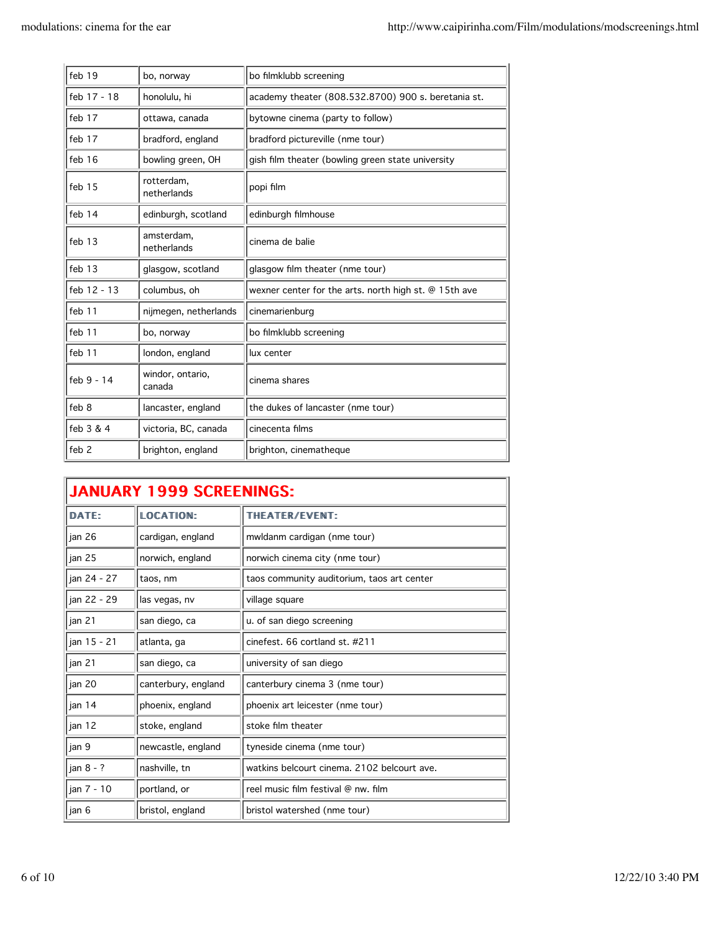| feb 19           | bo, norway                 | bo filmklubb screening                                |
|------------------|----------------------------|-------------------------------------------------------|
| feb 17 - 18      | honolulu, hi               | academy theater (808.532.8700) 900 s. beretania st.   |
| feb 17           | ottawa, canada             | bytowne cinema (party to follow)                      |
| feb 17           | bradford, england          | bradford pictureville (nme tour)                      |
| feb 16           | bowling green, OH          | gish film theater (bowling green state university     |
| feb 15           | rotterdam,<br>netherlands  | popi film                                             |
| feb 14           | edinburgh, scotland        | edinburgh filmhouse                                   |
| feb 13           | amsterdam,<br>netherlands  | cinema de balie                                       |
| feb 13           | glasgow, scotland          | glasgow film theater (nme tour)                       |
| feb 12 - 13      | columbus, oh               | wexner center for the arts. north high st. @ 15th ave |
| feb 11           | nijmegen, netherlands      | cinemarienburg                                        |
| feb 11           | bo, norway                 | bo filmklubb screening                                |
| feb 11           | london, england            | lux center                                            |
| feb 9 - 14       | windor, ontario,<br>canada | cinema shares                                         |
| feb 8            | lancaster, england         | the dukes of lancaster (nme tour)                     |
| feb 3 & 4        | victoria, BC, canada       | cinecenta films                                       |
| feb <sub>2</sub> | brighton, england          | brighton, cinematheque                                |

| <b>JANUARY 1999 SCREENINGS:</b> |                     |                                             |
|---------------------------------|---------------------|---------------------------------------------|
| <b>DATE:</b>                    | <b>LOCATION:</b>    | THEATER/EVENT:                              |
| jan 26                          | cardigan, england   | mwldanm cardigan (nme tour)                 |
| jan 25                          | norwich, england    | norwich cinema city (nme tour)              |
| jan 24 - 27                     | taos, nm            | taos community auditorium, taos art center  |
| jan 22 - 29                     | las vegas, nv       | village square                              |
| jan 21                          | san diego, ca       | u. of san diego screening                   |
| jan 15 - 21                     | atlanta, ga         | cinefest. 66 cortland st. #211              |
| jan 21                          | san diego, ca       | university of san diego                     |
| jan 20                          | canterbury, england | canterbury cinema 3 (nme tour)              |
| jan 14                          | phoenix, england    | phoenix art leicester (nme tour)            |
| jan 12                          | stoke, england      | stoke film theater                          |
| jan 9                           | newcastle, england  | tyneside cinema (nme tour)                  |
| jan 8 - ?                       | nashville, tn       | watkins belcourt cinema. 2102 belcourt ave. |
| jan 7 - 10                      | portland, or        | reel music film festival @ nw. film         |
| jan 6                           | bristol, england    | bristol watershed (nme tour)                |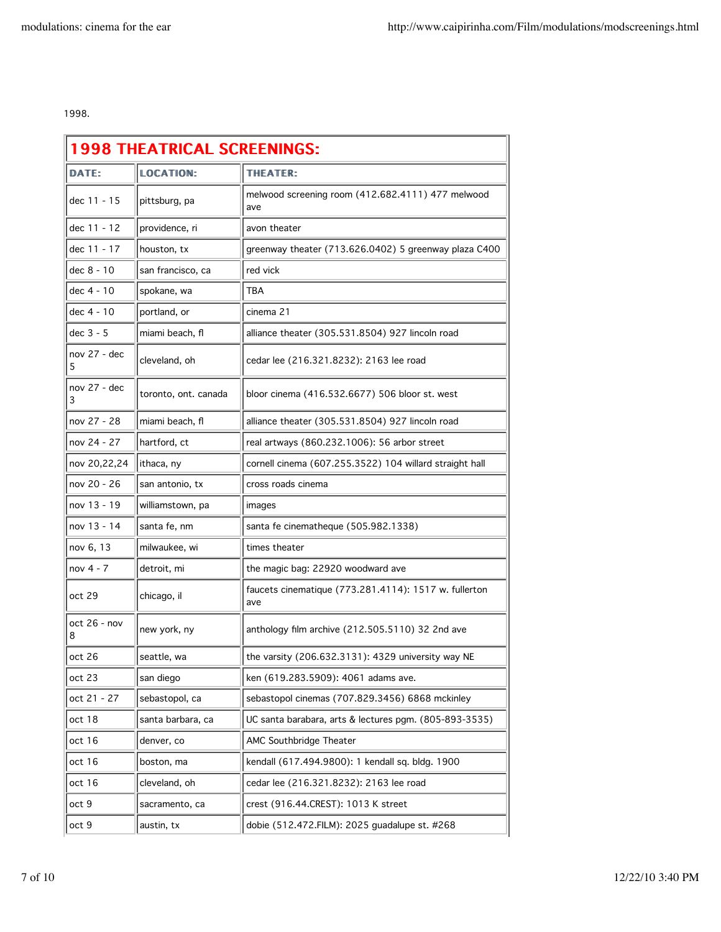1998.

| <b>LOCATION:</b><br><b>THEATER:</b><br><b>DATE:</b><br>melwood screening room (412.682.4111) 477 melwood<br>dec 11 - 15<br>pittsburg, pa<br>ave<br>dec 11 - 12<br>providence, ri<br>avon theater<br>dec 11 - 17<br>greenway theater (713.626.0402) 5 greenway plaza C400<br>houston, tx<br>red vick<br>dec 8 - 10<br>san francisco, ca<br><b>TBA</b><br>dec 4 - 10<br>spokane, wa<br>dec 4 - 10<br>portland, or<br>cinema 21<br>miami beach, fl<br>alliance theater (305.531.8504) 927 lincoln road<br>nov 27 - dec<br>cleveland, oh<br>cedar lee (216.321.8232): 2163 lee road<br>5<br>bloor cinema (416.532.6677) 506 bloor st. west<br>toronto, ont. canada<br>3<br>nov 27 - 28<br>miami beach, fl<br>alliance theater (305.531.8504) 927 lincoln road<br>nov 24 - 27<br>hartford, ct<br>real artways (860.232.1006): 56 arbor street<br>ithaca, ny<br>cornell cinema (607.255.3522) 104 willard straight hall<br>cross roads cinema<br>san antonio, tx<br>nov 13 - 19<br>williamstown, pa<br>images<br>santa fe cinematheque (505.982.1338)<br>santa fe, nm<br>times theater<br>milwaukee, wi<br>nov 4 - 7<br>detroit, mi<br>the magic bag: 22920 woodward ave<br>faucets cinematique (773.281.4114): 1517 w. fullerton<br>chicago, il<br>ave<br>oct 26 - nov<br>anthology film archive (212.505.5110) 32 2nd ave<br>new york, ny<br>seattle, wa<br>the varsity (206.632.3131): 4329 university way NE<br>san diego<br>ken (619.283.5909): 4061 adams ave.<br>sebastopol, ca<br>sebastopol cinemas (707.829.3456) 6868 mckinley<br>UC santa barabara, arts & lectures pgm. (805-893-3535)<br>santa barbara, ca<br>AMC Southbridge Theater<br>denver, co<br>kendall (617.494.9800): 1 kendall sq. bldg. 1900<br>boston, ma<br>cleveland, oh<br>cedar lee (216.321.8232): 2163 lee road<br>crest (916.44.CREST): 1013 K street<br>sacramento, ca<br>dobie (512.472.FILM): 2025 guadalupe st. #268<br>austin, tx | <b>1998 THEATRICAL SCREENINGS:</b> |  |  |  |
|-------------------------------------------------------------------------------------------------------------------------------------------------------------------------------------------------------------------------------------------------------------------------------------------------------------------------------------------------------------------------------------------------------------------------------------------------------------------------------------------------------------------------------------------------------------------------------------------------------------------------------------------------------------------------------------------------------------------------------------------------------------------------------------------------------------------------------------------------------------------------------------------------------------------------------------------------------------------------------------------------------------------------------------------------------------------------------------------------------------------------------------------------------------------------------------------------------------------------------------------------------------------------------------------------------------------------------------------------------------------------------------------------------------------------------------------------------------------------------------------------------------------------------------------------------------------------------------------------------------------------------------------------------------------------------------------------------------------------------------------------------------------------------------------------------------------------------------------------------------------------------------------------------------------|------------------------------------|--|--|--|
|                                                                                                                                                                                                                                                                                                                                                                                                                                                                                                                                                                                                                                                                                                                                                                                                                                                                                                                                                                                                                                                                                                                                                                                                                                                                                                                                                                                                                                                                                                                                                                                                                                                                                                                                                                                                                                                                                                                   |                                    |  |  |  |
|                                                                                                                                                                                                                                                                                                                                                                                                                                                                                                                                                                                                                                                                                                                                                                                                                                                                                                                                                                                                                                                                                                                                                                                                                                                                                                                                                                                                                                                                                                                                                                                                                                                                                                                                                                                                                                                                                                                   |                                    |  |  |  |
|                                                                                                                                                                                                                                                                                                                                                                                                                                                                                                                                                                                                                                                                                                                                                                                                                                                                                                                                                                                                                                                                                                                                                                                                                                                                                                                                                                                                                                                                                                                                                                                                                                                                                                                                                                                                                                                                                                                   |                                    |  |  |  |
|                                                                                                                                                                                                                                                                                                                                                                                                                                                                                                                                                                                                                                                                                                                                                                                                                                                                                                                                                                                                                                                                                                                                                                                                                                                                                                                                                                                                                                                                                                                                                                                                                                                                                                                                                                                                                                                                                                                   |                                    |  |  |  |
|                                                                                                                                                                                                                                                                                                                                                                                                                                                                                                                                                                                                                                                                                                                                                                                                                                                                                                                                                                                                                                                                                                                                                                                                                                                                                                                                                                                                                                                                                                                                                                                                                                                                                                                                                                                                                                                                                                                   |                                    |  |  |  |
|                                                                                                                                                                                                                                                                                                                                                                                                                                                                                                                                                                                                                                                                                                                                                                                                                                                                                                                                                                                                                                                                                                                                                                                                                                                                                                                                                                                                                                                                                                                                                                                                                                                                                                                                                                                                                                                                                                                   |                                    |  |  |  |
|                                                                                                                                                                                                                                                                                                                                                                                                                                                                                                                                                                                                                                                                                                                                                                                                                                                                                                                                                                                                                                                                                                                                                                                                                                                                                                                                                                                                                                                                                                                                                                                                                                                                                                                                                                                                                                                                                                                   |                                    |  |  |  |
|                                                                                                                                                                                                                                                                                                                                                                                                                                                                                                                                                                                                                                                                                                                                                                                                                                                                                                                                                                                                                                                                                                                                                                                                                                                                                                                                                                                                                                                                                                                                                                                                                                                                                                                                                                                                                                                                                                                   | dec 3 - 5                          |  |  |  |
|                                                                                                                                                                                                                                                                                                                                                                                                                                                                                                                                                                                                                                                                                                                                                                                                                                                                                                                                                                                                                                                                                                                                                                                                                                                                                                                                                                                                                                                                                                                                                                                                                                                                                                                                                                                                                                                                                                                   |                                    |  |  |  |
|                                                                                                                                                                                                                                                                                                                                                                                                                                                                                                                                                                                                                                                                                                                                                                                                                                                                                                                                                                                                                                                                                                                                                                                                                                                                                                                                                                                                                                                                                                                                                                                                                                                                                                                                                                                                                                                                                                                   | nov 27 - dec                       |  |  |  |
|                                                                                                                                                                                                                                                                                                                                                                                                                                                                                                                                                                                                                                                                                                                                                                                                                                                                                                                                                                                                                                                                                                                                                                                                                                                                                                                                                                                                                                                                                                                                                                                                                                                                                                                                                                                                                                                                                                                   |                                    |  |  |  |
|                                                                                                                                                                                                                                                                                                                                                                                                                                                                                                                                                                                                                                                                                                                                                                                                                                                                                                                                                                                                                                                                                                                                                                                                                                                                                                                                                                                                                                                                                                                                                                                                                                                                                                                                                                                                                                                                                                                   |                                    |  |  |  |
|                                                                                                                                                                                                                                                                                                                                                                                                                                                                                                                                                                                                                                                                                                                                                                                                                                                                                                                                                                                                                                                                                                                                                                                                                                                                                                                                                                                                                                                                                                                                                                                                                                                                                                                                                                                                                                                                                                                   | nov 20,22,24                       |  |  |  |
|                                                                                                                                                                                                                                                                                                                                                                                                                                                                                                                                                                                                                                                                                                                                                                                                                                                                                                                                                                                                                                                                                                                                                                                                                                                                                                                                                                                                                                                                                                                                                                                                                                                                                                                                                                                                                                                                                                                   | nov 20 - 26                        |  |  |  |
|                                                                                                                                                                                                                                                                                                                                                                                                                                                                                                                                                                                                                                                                                                                                                                                                                                                                                                                                                                                                                                                                                                                                                                                                                                                                                                                                                                                                                                                                                                                                                                                                                                                                                                                                                                                                                                                                                                                   |                                    |  |  |  |
|                                                                                                                                                                                                                                                                                                                                                                                                                                                                                                                                                                                                                                                                                                                                                                                                                                                                                                                                                                                                                                                                                                                                                                                                                                                                                                                                                                                                                                                                                                                                                                                                                                                                                                                                                                                                                                                                                                                   | nov 13 - 14                        |  |  |  |
|                                                                                                                                                                                                                                                                                                                                                                                                                                                                                                                                                                                                                                                                                                                                                                                                                                                                                                                                                                                                                                                                                                                                                                                                                                                                                                                                                                                                                                                                                                                                                                                                                                                                                                                                                                                                                                                                                                                   | nov 6, 13                          |  |  |  |
|                                                                                                                                                                                                                                                                                                                                                                                                                                                                                                                                                                                                                                                                                                                                                                                                                                                                                                                                                                                                                                                                                                                                                                                                                                                                                                                                                                                                                                                                                                                                                                                                                                                                                                                                                                                                                                                                                                                   |                                    |  |  |  |
|                                                                                                                                                                                                                                                                                                                                                                                                                                                                                                                                                                                                                                                                                                                                                                                                                                                                                                                                                                                                                                                                                                                                                                                                                                                                                                                                                                                                                                                                                                                                                                                                                                                                                                                                                                                                                                                                                                                   | oct 29                             |  |  |  |
|                                                                                                                                                                                                                                                                                                                                                                                                                                                                                                                                                                                                                                                                                                                                                                                                                                                                                                                                                                                                                                                                                                                                                                                                                                                                                                                                                                                                                                                                                                                                                                                                                                                                                                                                                                                                                                                                                                                   | 8                                  |  |  |  |
|                                                                                                                                                                                                                                                                                                                                                                                                                                                                                                                                                                                                                                                                                                                                                                                                                                                                                                                                                                                                                                                                                                                                                                                                                                                                                                                                                                                                                                                                                                                                                                                                                                                                                                                                                                                                                                                                                                                   | oct 26                             |  |  |  |
|                                                                                                                                                                                                                                                                                                                                                                                                                                                                                                                                                                                                                                                                                                                                                                                                                                                                                                                                                                                                                                                                                                                                                                                                                                                                                                                                                                                                                                                                                                                                                                                                                                                                                                                                                                                                                                                                                                                   | oct 23                             |  |  |  |
|                                                                                                                                                                                                                                                                                                                                                                                                                                                                                                                                                                                                                                                                                                                                                                                                                                                                                                                                                                                                                                                                                                                                                                                                                                                                                                                                                                                                                                                                                                                                                                                                                                                                                                                                                                                                                                                                                                                   | oct 21 - 27                        |  |  |  |
|                                                                                                                                                                                                                                                                                                                                                                                                                                                                                                                                                                                                                                                                                                                                                                                                                                                                                                                                                                                                                                                                                                                                                                                                                                                                                                                                                                                                                                                                                                                                                                                                                                                                                                                                                                                                                                                                                                                   | oct 18                             |  |  |  |
|                                                                                                                                                                                                                                                                                                                                                                                                                                                                                                                                                                                                                                                                                                                                                                                                                                                                                                                                                                                                                                                                                                                                                                                                                                                                                                                                                                                                                                                                                                                                                                                                                                                                                                                                                                                                                                                                                                                   | oct 16                             |  |  |  |
|                                                                                                                                                                                                                                                                                                                                                                                                                                                                                                                                                                                                                                                                                                                                                                                                                                                                                                                                                                                                                                                                                                                                                                                                                                                                                                                                                                                                                                                                                                                                                                                                                                                                                                                                                                                                                                                                                                                   | oct 16                             |  |  |  |
|                                                                                                                                                                                                                                                                                                                                                                                                                                                                                                                                                                                                                                                                                                                                                                                                                                                                                                                                                                                                                                                                                                                                                                                                                                                                                                                                                                                                                                                                                                                                                                                                                                                                                                                                                                                                                                                                                                                   | oct 16                             |  |  |  |
|                                                                                                                                                                                                                                                                                                                                                                                                                                                                                                                                                                                                                                                                                                                                                                                                                                                                                                                                                                                                                                                                                                                                                                                                                                                                                                                                                                                                                                                                                                                                                                                                                                                                                                                                                                                                                                                                                                                   | oct 9                              |  |  |  |
|                                                                                                                                                                                                                                                                                                                                                                                                                                                                                                                                                                                                                                                                                                                                                                                                                                                                                                                                                                                                                                                                                                                                                                                                                                                                                                                                                                                                                                                                                                                                                                                                                                                                                                                                                                                                                                                                                                                   | oct 9                              |  |  |  |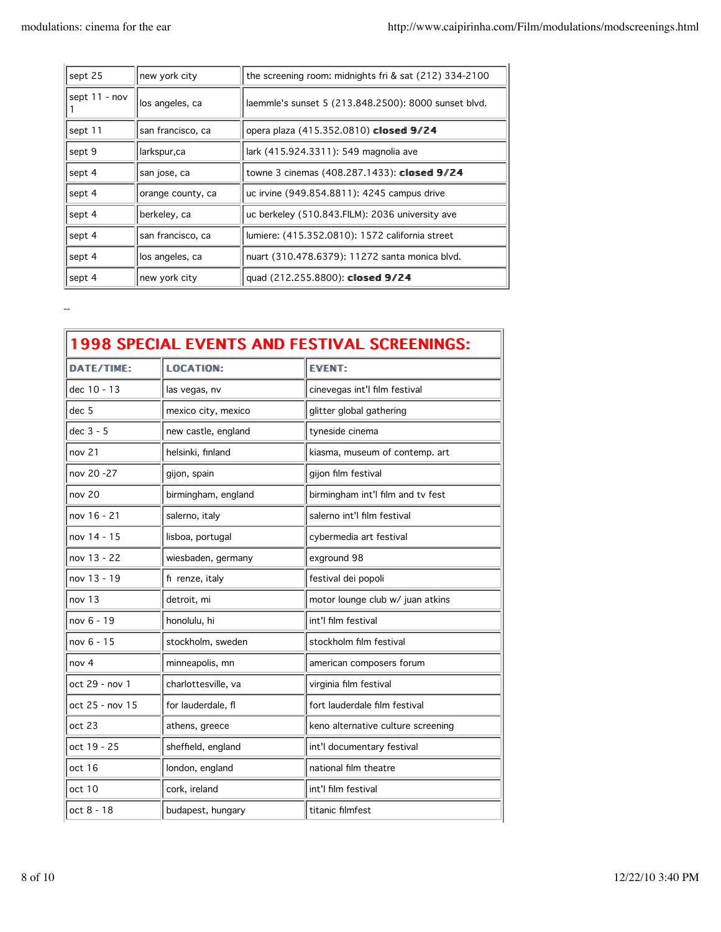| sept 25       | new york city     | the screening room: midnights fri & sat (212) 334-2100 |
|---------------|-------------------|--------------------------------------------------------|
| sept 11 - nov | los angeles, ca   | laemmle's sunset 5 (213.848.2500): 8000 sunset blvd.   |
| sept 11       | san francisco, ca | opera plaza (415.352.0810) closed 9/24                 |
| sept 9        | larkspur,ca       | lark (415.924.3311): 549 magnolia ave                  |
| sept 4        | san jose, ca      | towne 3 cinemas (408.287.1433): closed 9/24            |
| sept 4        | orange county, ca | uc irvine (949.854.8811): 4245 campus drive            |
| sept 4        | berkeley, ca      | uc berkeley (510.843.FILM): 2036 university ave        |
| sept 4        | san francisco, ca | lumiere: (415.352.0810): 1572 california street        |
| sept 4        | los angeles, ca   | nuart (310.478.6379): 11272 santa monica blvd.         |
| sept 4        | new york city     | quad (212.255.8800): closed 9/24                       |

--

| <b>1998 SPECIAL EVENTS AND FESTIVAL SCREENINGS:</b> |                     |                                    |
|-----------------------------------------------------|---------------------|------------------------------------|
| DATE/TIME:                                          | LOCATION:           | <b>EVENT:</b>                      |
| dec 10 - 13                                         | las vegas, nv       | cinevegas int'l film festival      |
| dec 5                                               | mexico city, mexico | glitter global gathering           |
| dec 3 - 5                                           | new castle, england | tyneside cinema                    |
| nov <sub>21</sub>                                   | helsinki, finland   | kiasma, museum of contemp. art     |
| nov 20 -27                                          | gijon, spain        | gijon film festival                |
| nov <sub>20</sub>                                   | birmingham, england | birmingham int'l film and tv fest  |
| nov 16 - 21                                         | salerno, italy      | salerno int'l film festival        |
| nov 14 - 15                                         | lisboa, portugal    | cybermedia art festival            |
| nov 13 - 22                                         | wiesbaden, germany  | exground 98                        |
| nov 13 - 19                                         | fi renze, italy     | festival dei popoli                |
| nov 13                                              | detroit, mi         | motor lounge club w/ juan atkins   |
| nov 6 - 19                                          | honolulu, hi        | int'l film festival                |
| nov 6 - 15                                          | stockholm, sweden   | stockholm film festival            |
| nov <sub>4</sub>                                    | minneapolis, mn     | american composers forum           |
| oct 29 - nov 1                                      | charlottesville, va | virginia film festival             |
| oct 25 - nov 15                                     | for lauderdale, fl  | fort lauderdale film festival      |
| oct 23                                              | athens, greece      | keno alternative culture screening |
| oct 19 - 25                                         | sheffield, england  | int'l documentary festival         |
| oct 16                                              | london, england     | national film theatre              |
| oct 10                                              | cork, ireland       | int'l film festival                |
| oct 8 - 18                                          | budapest, hungary   | titanic filmfest                   |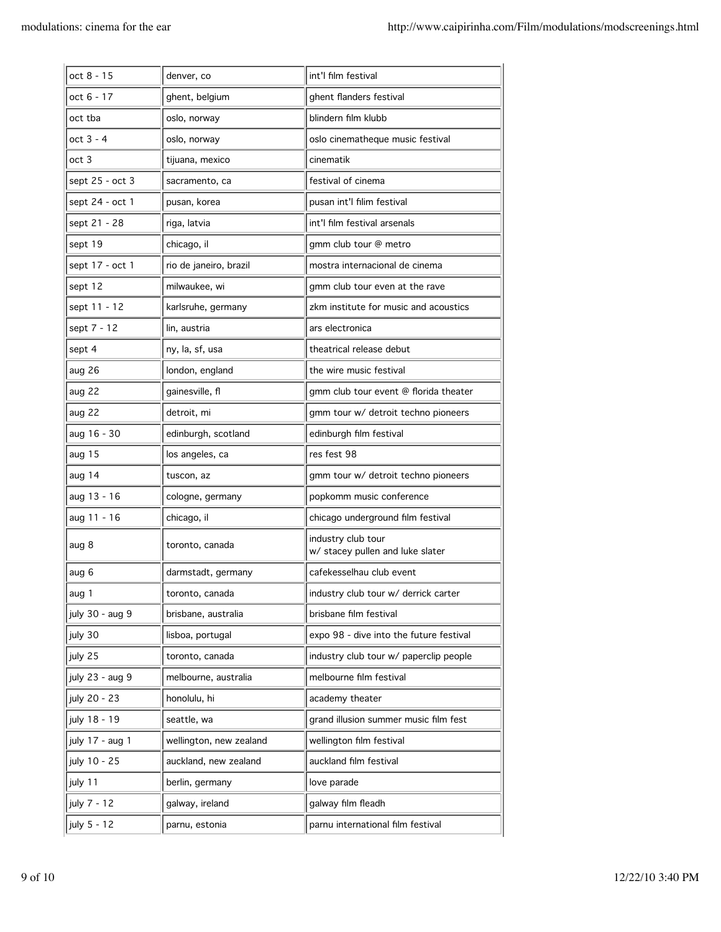| oct 8 - 15      | denver, co              | int'l film festival                                    |
|-----------------|-------------------------|--------------------------------------------------------|
| oct 6 - 17      | ghent, belgium          | ghent flanders festival                                |
| oct tba         | oslo, norway            | blindern film klubb                                    |
| $oct 3 - 4$     | oslo, norway            | oslo cinematheque music festival                       |
| oct 3           | tijuana, mexico         | cinematik                                              |
| sept 25 - oct 3 | sacramento, ca          | festival of cinema                                     |
| sept 24 - oct 1 | pusan, korea            | pusan int'l filim festival                             |
| sept 21 - 28    | riga, latvia            | int'l film festival arsenals                           |
| sept 19         | chicago, il             | gmm club tour @ metro                                  |
| sept 17 - oct 1 | rio de janeiro, brazil  | mostra internacional de cinema                         |
| sept 12         | milwaukee, wi           | gmm club tour even at the rave                         |
| sept 11 - 12    | karlsruhe, germany      | zkm institute for music and acoustics                  |
| sept 7 - 12     | lin, austria            | ars electronica                                        |
| sept 4          | ny, la, sf, usa         | theatrical release debut                               |
| aug 26          | london, england         | the wire music festival                                |
| aug 22          | gainesville, fl         | gmm club tour event @ florida theater                  |
| aug 22          | detroit, mi             | gmm tour w/ detroit techno pioneers                    |
| aug 16 - 30     | edinburgh, scotland     | edinburgh film festival                                |
| aug 15          | los angeles, ca         | res fest 98                                            |
| aug 14          | tuscon, az              | gmm tour w/ detroit techno pioneers                    |
| aug 13 - 16     | cologne, germany        | popkomm music conference                               |
| aug 11 - 16     | chicago, il             | chicago underground film festival                      |
| aug 8           | toronto, canada         | industry club tour<br>w/ stacey pullen and luke slater |
| aug 6           | darmstadt, germany      | cafekesselhau club event                               |
| aug 1           | toronto, canada         | industry club tour w/ derrick carter                   |
| july 30 - aug 9 | brisbane, australia     | brisbane film festival                                 |
| july 30         | lisboa, portugal        | expo 98 - dive into the future festival                |
| july 25         | toronto, canada         | industry club tour w/ paperclip people                 |
| july 23 - aug 9 | melbourne, australia    | melbourne film festival                                |
| july 20 - 23    | honolulu, hi            | academy theater                                        |
| july 18 - 19    | seattle, wa             | grand illusion summer music film fest                  |
| july 17 - aug 1 | wellington, new zealand | wellington film festival                               |
| july 10 - 25    | auckland, new zealand   | auckland film festival                                 |
| july 11         | berlin, germany         | love parade                                            |
| july 7 - 12     | galway, ireland         | galway film fleadh                                     |
|                 |                         |                                                        |